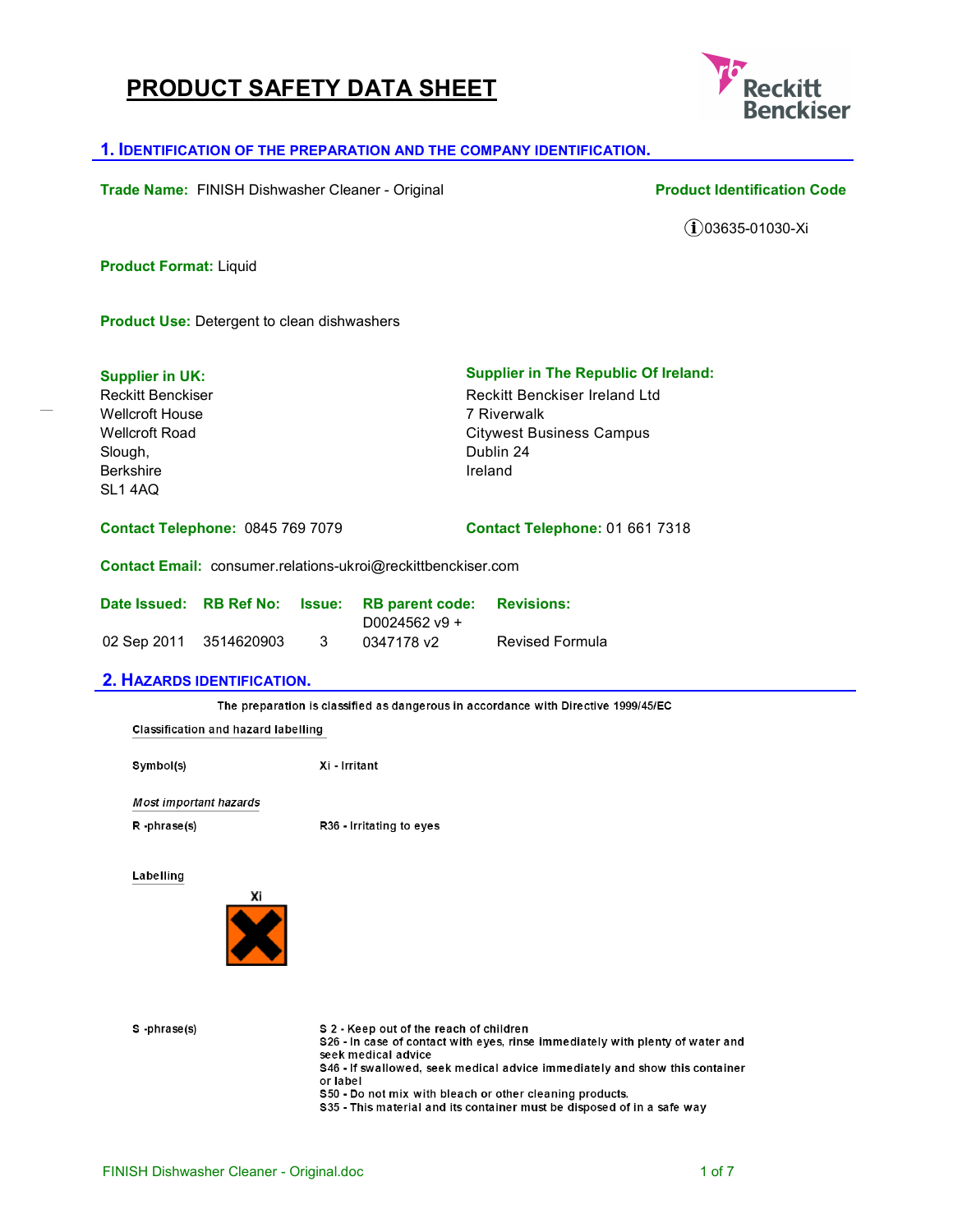# **PRODUCT SAFETY DATA SHEET**



### **1. IDENTIFICATION OF THE PREPARATION AND THE COMPANY IDENTIFICATION.**

**Trade Name:** FINISH Dishwasher Cleaner - Original **Product Identification Code** 

 $(i)$ 03635-01030-Xi

**Product Format:** Liquid

**Product Use:** Detergent to clean dishwashers

| <b>Supplier in UK:</b>                  | <b>Supplier in The Republic Of Ireland:</b> |
|-----------------------------------------|---------------------------------------------|
| <b>Reckitt Benckiser</b>                | Reckitt Benckiser Ireland Ltd               |
| Wellcroft House                         | 7 Riverwalk                                 |
| Wellcroft Road                          | <b>Citywest Business Campus</b>             |
| Slough,                                 | Dublin 24                                   |
| <b>Berkshire</b>                        | Ireland                                     |
| SL1 4AQ                                 |                                             |
| <b>Contact Telephone: 0845 769 7079</b> | Contact Telephone: 01 661 7318              |

**Contact Email:** consumer.relations-ukroi@reckittbenckiser.com

|                        |     | Date Issued: RB Ref No: Issue: RB parent code: Revisions: |                        |
|------------------------|-----|-----------------------------------------------------------|------------------------|
|                        |     | D0024562 $v9 +$                                           |                        |
| 02 Sep 2011 3514620903 | - 3 | 0347178 v2                                                | <b>Revised Formula</b> |

### **2. HAZARDS IDENTIFICATION.**

The preparation is classified as dangerous in accordance with Directive 1999/45/EC

**Classification and hazard labelling** 

Symbol(s)

Xi - Irritant

**Most important hazards** 

 $R - phrase(s)$ 

R<sub>36</sub> - Irritating to eyes

Labelling



S-phrase(s)

S 2 - Keep out of the reach of children

\$26 - In case of contact with eyes, rinse immediately with plenty of water and seek medical advice

S46 - If swallowed, seek medical advice immediately and show this container or label

\$50 - Do not mix with bleach or other cleaning products.

\$35 - This material and its container must be disposed of in a safe way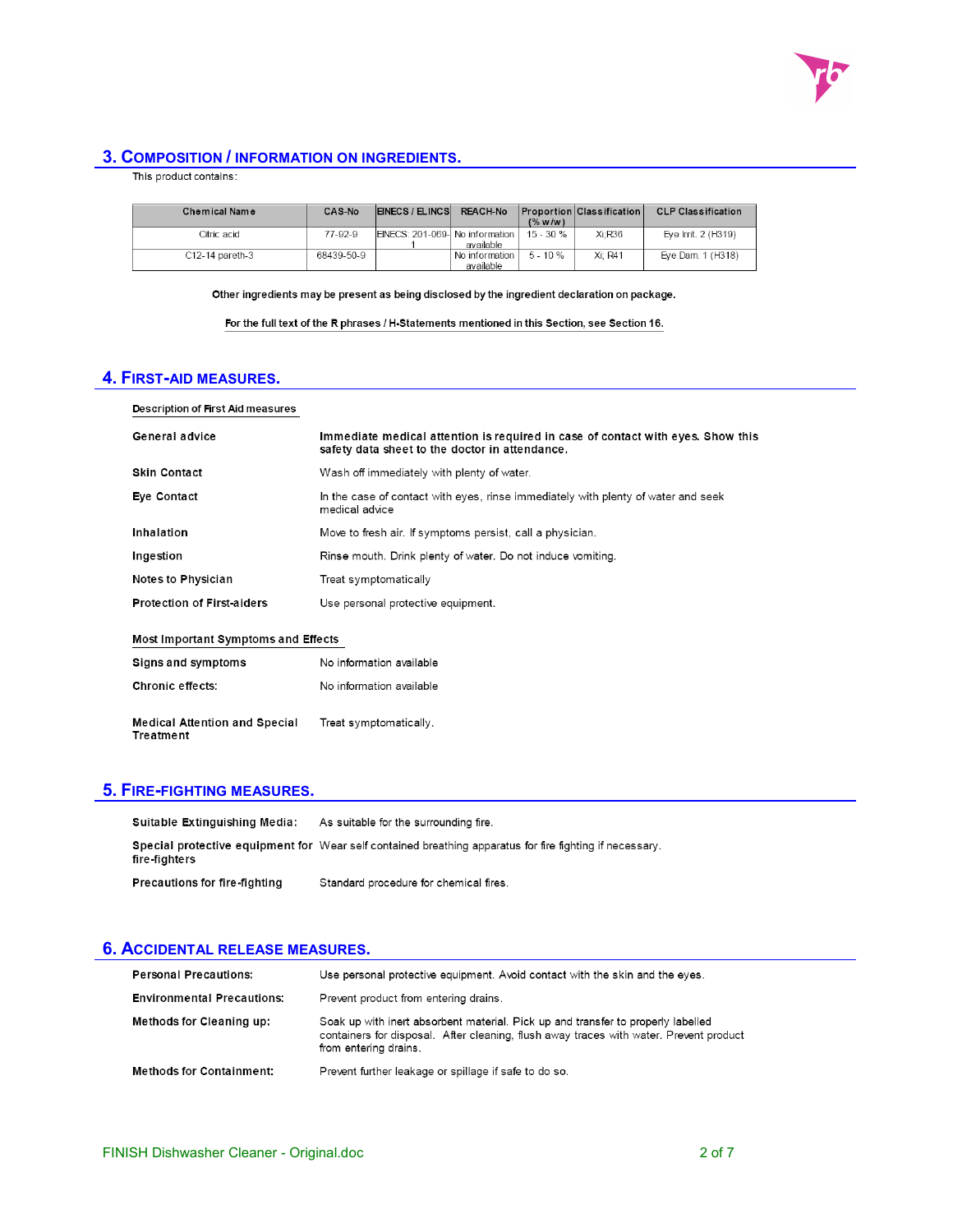

## **3. COMPOSITION / INFORMATION ON INGREDIENTS.**

| This product contains: |  |
|------------------------|--|
|------------------------|--|

| <b>Chemical Name</b> | CAS No     | EINECS / ELINCS                 | <b>REACH No</b>             | $($ % w/w)   | Proportion   Classification | <b>CLP Classification</b> |
|----------------------|------------|---------------------------------|-----------------------------|--------------|-----------------------------|---------------------------|
| Citric acid          | 77-92-9    | EINECS: 201-069- No information | available                   | $15 - 30 \%$ | $Xi$ : $R36$                | Eve Irrit. 2 (H319)       |
| C12-14 pareth-3      | 68439-50-9 |                                 | No information<br>available | $5 - 10%$    | Xi: R41                     | Eve Dam. 1 (H318)         |

Other ingredients may be present as being disclosed by the ingredient declaration on package.

For the full text of the R phrases / H-Statements mentioned in this Section, see Section 16.

# **4. FIRST-AID MEASURES.**

| Description of First Aid measures                 |                                                                                                                                   |
|---------------------------------------------------|-----------------------------------------------------------------------------------------------------------------------------------|
| General advice                                    | Immediate medical attention is required in case of contact with eyes. Show this<br>safety data sheet to the doctor in attendance. |
| <b>Skin Contact</b>                               | Wash off immediately with plenty of water.                                                                                        |
| Eye Contact                                       | In the case of contact with eyes, rinse immediately with plenty of water and seek<br>medical advice                               |
| Inhalation                                        | Move to fresh air. If symptoms persist, call a physician.                                                                         |
| Ingestion                                         | Rinse mouth. Drink plenty of water. Do not induce vomiting.                                                                       |
| <b>Notes to Physician</b>                         | Treat symptomatically                                                                                                             |
| <b>Protection of First-aiders</b>                 | Use personal protective equipment.                                                                                                |
| Most Important Symptoms and Effects               |                                                                                                                                   |
| Signs and symptoms                                | No information available                                                                                                          |
| <b>Chronic effects:</b>                           | No information available                                                                                                          |
| <b>Medical Attention and Special</b><br>Treatment | Treat symptomatically.                                                                                                            |

# **5. FIRE-FIGHTING MEASURES.**

| Suitable Extinguishing Media:        | As suitable for the surrounding fire.                                                                    |
|--------------------------------------|----------------------------------------------------------------------------------------------------------|
| fire-fighters                        | Special protective equipment for Wear self contained breathing apparatus for fire fighting if necessary. |
| <b>Precautions for fire-fighting</b> | Standard procedure for chemical fires.                                                                   |

## **6. ACCIDENTAL RELEASE MEASURES.**

| <b>Personal Precautions:</b>      | Use personal protective equipment. Avoid contact with the skin and the eyes.                                                                                                                        |
|-----------------------------------|-----------------------------------------------------------------------------------------------------------------------------------------------------------------------------------------------------|
| <b>Environmental Precautions:</b> | Prevent product from entering drains.                                                                                                                                                               |
| Methods for Cleaning up:          | Soak up with inert absorbent material. Pick up and transfer to properly labelled<br>containers for disposal. After cleaning, flush away traces with water. Prevent product<br>from entering drains. |
| <b>Methods for Containment:</b>   | Prevent further leakage or spillage if safe to do so.                                                                                                                                               |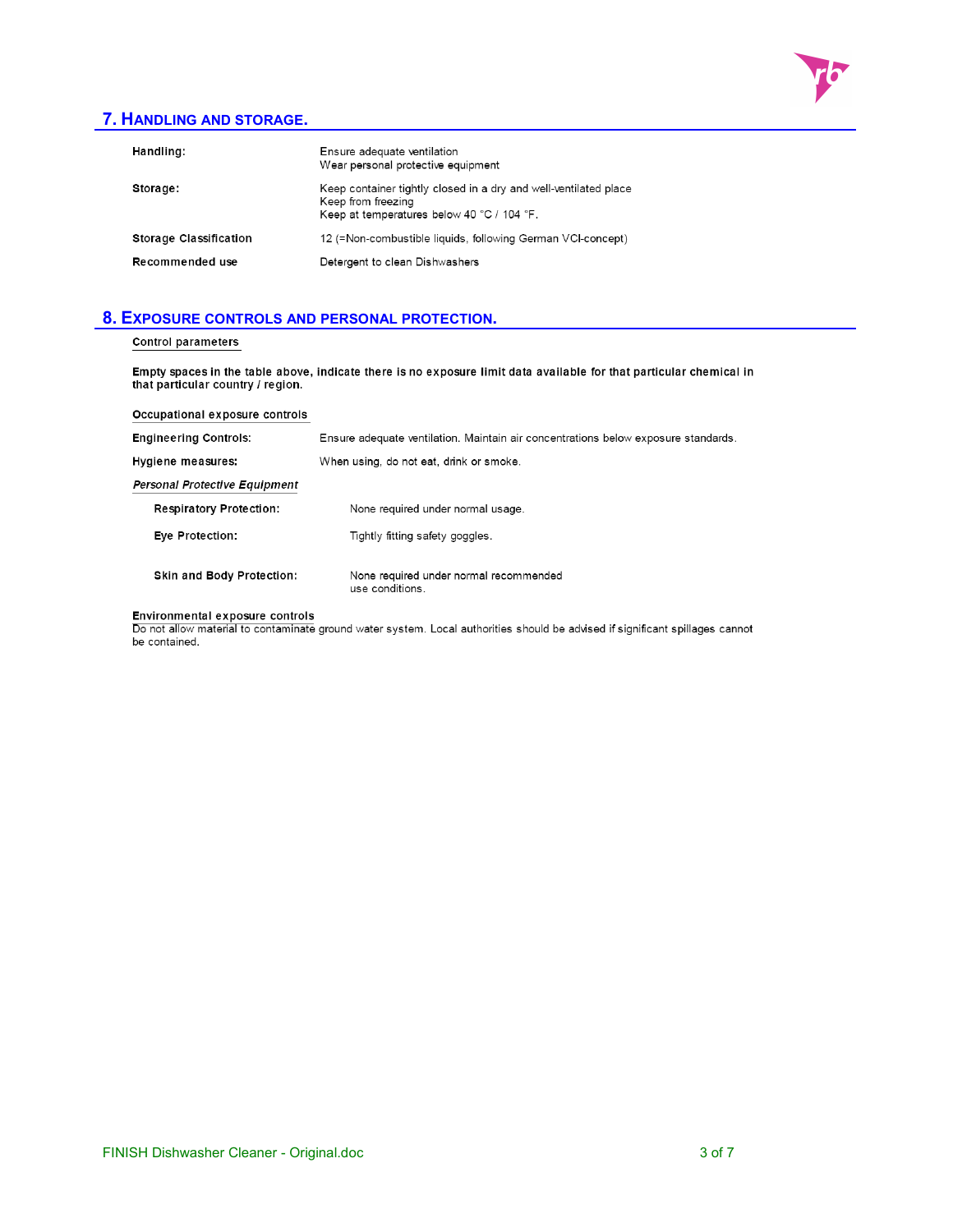

# **7. HANDLING AND STORAGE.**

| Handling:                     | Ensure adequate ventilation<br>Wear personal protective equipment                                                                    |
|-------------------------------|--------------------------------------------------------------------------------------------------------------------------------------|
| Storage:                      | Keep container tightly closed in a dry and well-ventilated place<br>Keep from freezing<br>Keep at temperatures below 40 °C / 104 °F. |
| <b>Storage Classification</b> | 12 (=Non-combustible liquids, following German VCI-concept)                                                                          |
| Recommended use               | Detergent to clean Dishwashers                                                                                                       |

### **8. EXPOSURE CONTROLS AND PERSONAL PROTECTION.**

### **Control parameters**

Empty spaces in the table above, indicate there is no exposure limit data available for that particular chemical in<br>that particular country / region.

| Occupational exposure controls       |                                                                                    |  |  |
|--------------------------------------|------------------------------------------------------------------------------------|--|--|
| <b>Engineering Controls:</b>         | Ensure adequate ventilation. Maintain air concentrations below exposure standards. |  |  |
| Hygiene measures:                    | When using, do not eat, drink or smoke.                                            |  |  |
| <b>Personal Protective Equipment</b> |                                                                                    |  |  |
| <b>Respiratory Protection:</b>       | None required under normal usage.                                                  |  |  |
| Eye Protection:                      | Tightly fitting safety goggles.                                                    |  |  |
| <b>Skin and Body Protection:</b>     | None required under normal recommended<br>use conditions.                          |  |  |

Environmental exposure controls<br>Do not allow material to contaminate ground water system. Local authorities should be advised if significant spillages cannot be contained.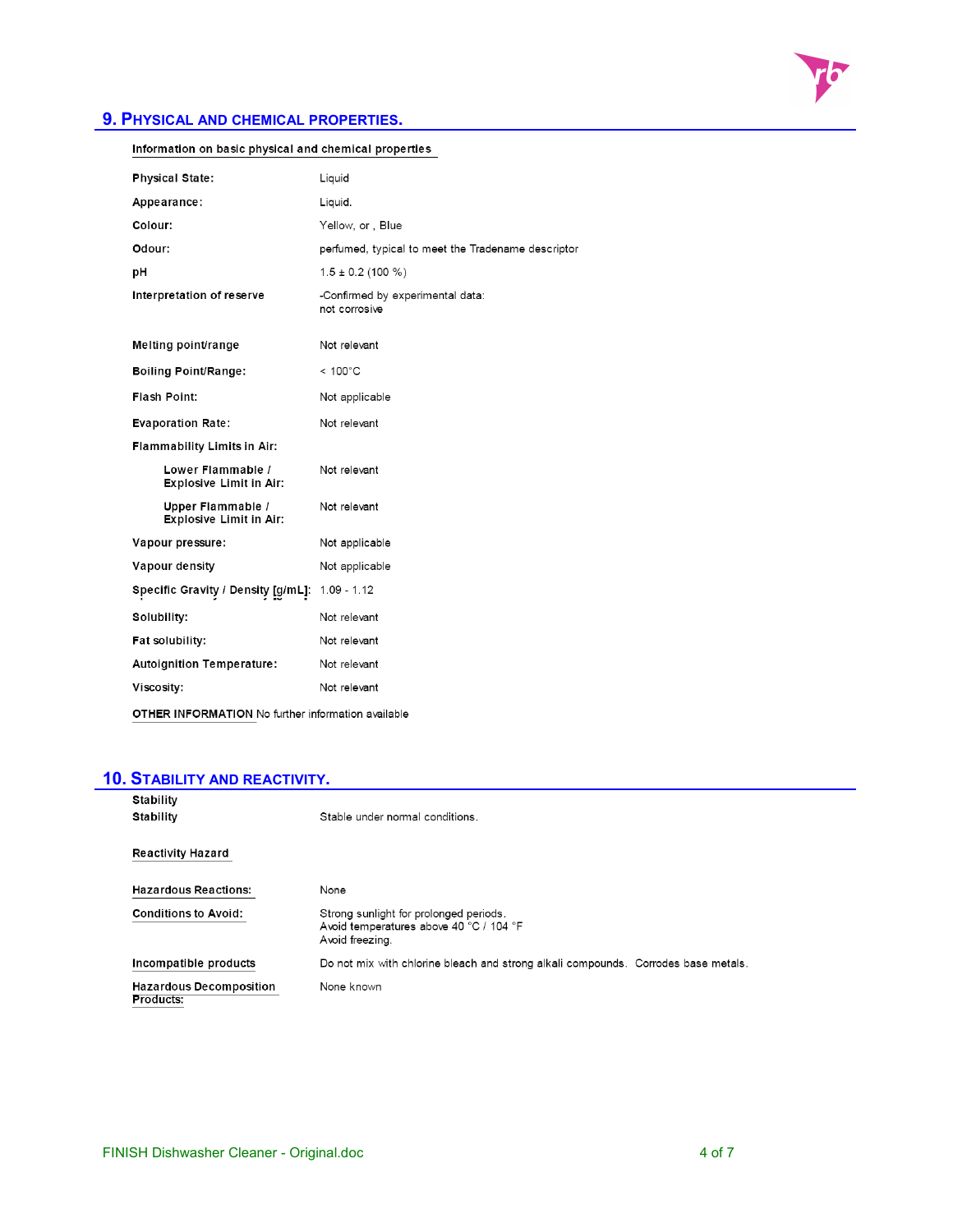

# **9. PHYSICAL AND CHEMICAL PROPERTIES.**

| Information on basic physical and chemical properties     |                                                    |  |
|-----------------------------------------------------------|----------------------------------------------------|--|
| <b>Physical State:</b>                                    | Liquid                                             |  |
| Appearance:                                               | Liquid.                                            |  |
| Colour:                                                   | Yellow, or, Blue                                   |  |
| Odour:                                                    | perfumed, typical to meet the Tradename descriptor |  |
| рH                                                        | $1.5 \pm 0.2$ (100 %)                              |  |
| Interpretation of reserve                                 | -Confirmed by experimental data:<br>not corrosive  |  |
| Melting point/range                                       | Not relevant                                       |  |
| <b>Boiling Point/Range:</b>                               | $< 100^{\circ}$ C                                  |  |
| Flash Point:                                              | Not applicable                                     |  |
| <b>Evaporation Rate:</b>                                  | Not relevant                                       |  |
| <b>Flammability Limits in Air:</b>                        |                                                    |  |
| Lower Flammable /<br><b>Explosive Limit in Air:</b>       | Not relevant                                       |  |
| Upper Flammable /<br><b>Explosive Limit in Air:</b>       | Not relevant                                       |  |
| Vapour pressure:                                          | Not applicable                                     |  |
| Vapour density                                            | Not applicable                                     |  |
| Specific Gravity / Density [g/mL]: 1.09 - 1.12            |                                                    |  |
| Solubility:                                               | Not relevant                                       |  |
| Fat solubility:                                           | Not relevant                                       |  |
| <b>Autoignition Temperature:</b>                          | Not relevant                                       |  |
| Viscosity:                                                | Not relevant                                       |  |
| <b>OTHER INFORMATION No further information available</b> |                                                    |  |

# **10. STABILITY AND REACTIVITY.**

| Stability                                   |                                                                                                      |
|---------------------------------------------|------------------------------------------------------------------------------------------------------|
| Stability                                   | Stable under normal conditions.                                                                      |
| <b>Reactivity Hazard</b>                    |                                                                                                      |
|                                             |                                                                                                      |
| <b>Hazardous Reactions:</b>                 | None                                                                                                 |
| <b>Conditions to Avoid:</b>                 | Strong sunlight for prolonged periods.<br>Avoid temperatures above 40 °C / 104 °F<br>Avoid freezing. |
| Incompatible products                       | Do not mix with chlorine bleach and strong alkali compounds. Corrodes base metals.                   |
| <b>Hazardous Decomposition</b><br>Products: | None known                                                                                           |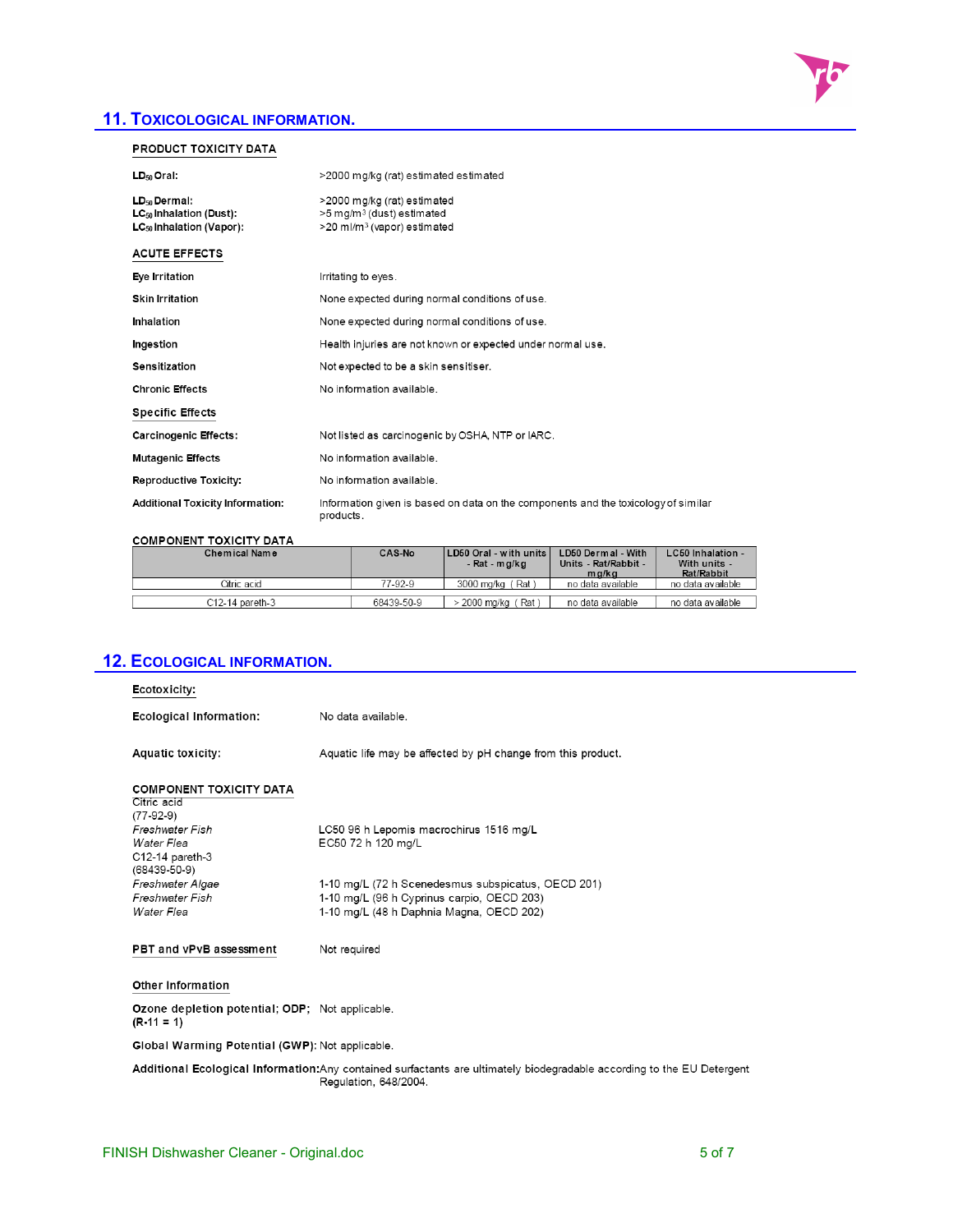# **11. TOXICOLOGICAL INFORMATION.**

# PRODUCT TOXICITY DATA

| LD <sub>50</sub> Oral:                                   | >2000 mg/kg (rat) estimated estimated                                                           |
|----------------------------------------------------------|-------------------------------------------------------------------------------------------------|
| LD <sub>50</sub> Dermal:<br>$LC_{50}$ Inhalation (Dust): | >2000 mg/kg (rat) estimated<br>>5 mg/m <sup>3</sup> (dust) estimated                            |
| LC <sub>50</sub> Inhalation (Vapor):                     | >20 ml/m <sup>3</sup> (vapor) estimated                                                         |
| <b>ACUTE EFFECTS</b>                                     |                                                                                                 |
| Eye Irritation                                           | Irritating to eyes.                                                                             |
| <b>Skin Irritation</b>                                   | None expected during normal conditions of use.                                                  |
| Inhalation                                               | None expected during normal conditions of use.                                                  |
| Ingestion                                                | Health injuries are not known or expected under normal use.                                     |
| Sensitization                                            | Not expected to be a skin sensitiser.                                                           |
| <b>Chronic Effects</b>                                   | No information available.                                                                       |
| <b>Specific Effects</b>                                  |                                                                                                 |
| <b>Carcinogenic Effects:</b>                             | Not listed as carcinogenic by OSHA, NTP or IARC.                                                |
| <b>Mutagenic Effects</b>                                 | No information available.                                                                       |
| Reproductive Toxicity:                                   | No information available.                                                                       |
| <b>Additional Toxicity Information:</b>                  | Information given is based on data on the components and the toxicology of similar<br>products. |

### **COMPONENT TOXICITY DATA**

| Chemical Name   | <b>CAS No</b> | LD50 Oral - with units<br>- Rat - mg/kg | LD50 Dermal - With<br>Units Rat/Rabbit<br>mg/kg | LC50 Inhalation<br>With units -<br>Rat/Rabbit |  |
|-----------------|---------------|-----------------------------------------|-------------------------------------------------|-----------------------------------------------|--|
| Otric acid      | 77-92-9       | 3000 ma/ka<br>Rat                       | no data available                               | no data available                             |  |
|                 |               |                                         |                                                 |                                               |  |
| C12-14 pareth-3 | 68439-50-9    | Rat<br>2000 ma/ka                       | no data available                               | no data available                             |  |

| Ecotoxicity:<br><b>Ecological Information:</b><br>No data available.                                                                            |
|-------------------------------------------------------------------------------------------------------------------------------------------------|
|                                                                                                                                                 |
|                                                                                                                                                 |
| <b>Aquatic toxicity:</b><br>Aquatic life may be affected by pH change from this product.                                                        |
| <b>COMPONENT TOXICITY DATA</b>                                                                                                                  |
| Citric acid                                                                                                                                     |
| $(77-92-9)$<br>Freshwater Fish<br>LC50 96 h Lepomis macrochirus 1516 mg/L                                                                       |
| EC50 72 h 120 mg/L<br>Water Flea                                                                                                                |
| C12-14 pareth-3                                                                                                                                 |
| $(68439 - 50 - 9)$                                                                                                                              |
| Freshwater Algae<br>1-10 mg/L (72 h Scenedesmus subspicatus, OECD 201)                                                                          |
| Freshwater Fish<br>1-10 mg/L (96 h Cyprinus carpio, OECD 203)                                                                                   |
| 1-10 mg/L (48 h Daphnia Magna, OECD 202)<br><b>Water Flea</b>                                                                                   |
| PBT and vPvB assessment<br>Not required                                                                                                         |
| <b>Other Information</b>                                                                                                                        |
| Ozone depletion potential; ODP; Not applicable.<br>$(R - 11 = 1)$                                                                               |
| Global Warming Potential (GWP): Not applicable.                                                                                                 |
| Additional Ecological Information:Any contained surfactants are ultimately biodegradable according to the EU Detergent<br>Regulation, 648/2004. |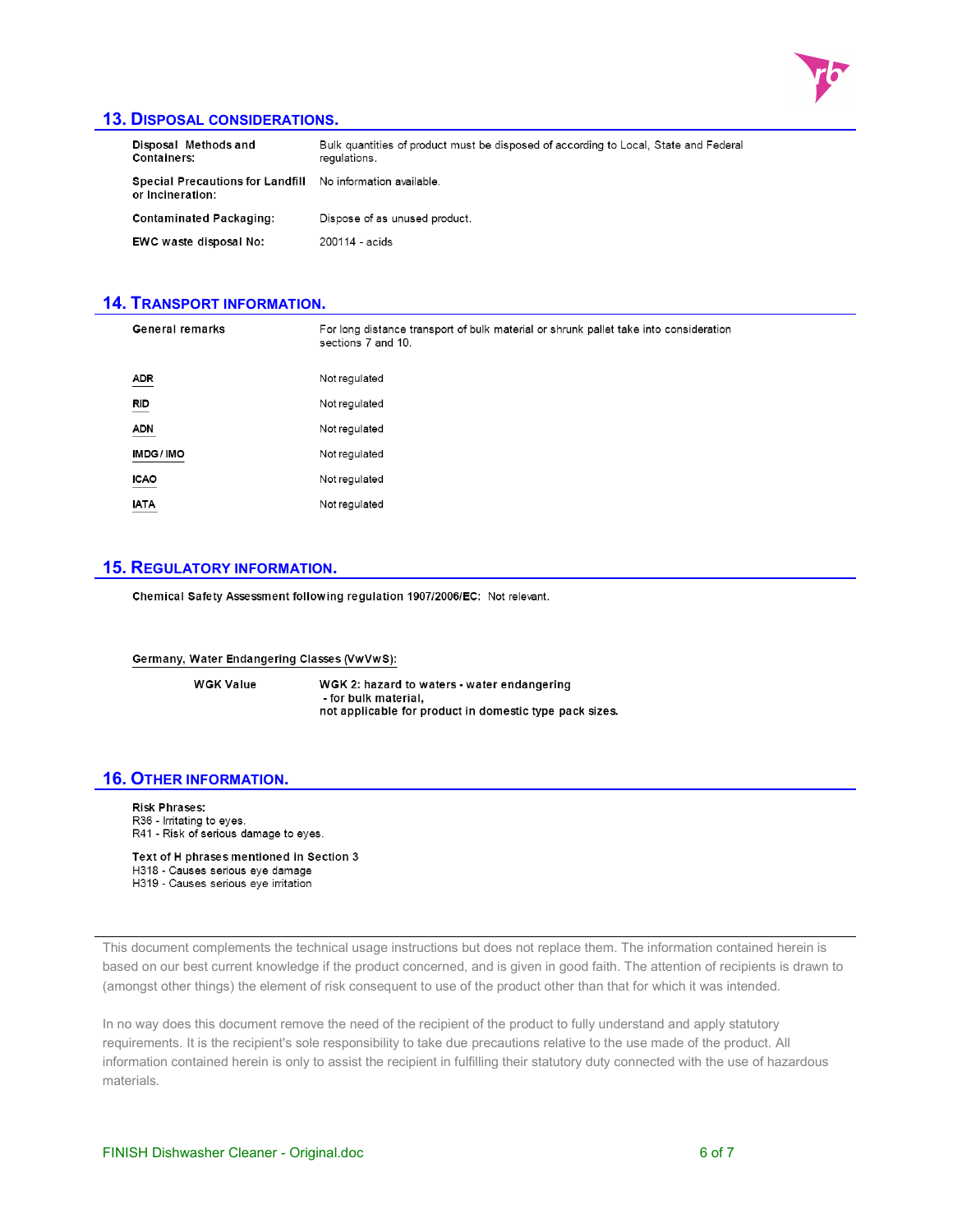

### **13. DISPOSAL CONSIDERATIONS.**

| Disposal Methods and<br><b>Containers:</b>                                     | Bulk quantities of product must be disposed of according to Local, State and Federal<br>regulations. |
|--------------------------------------------------------------------------------|------------------------------------------------------------------------------------------------------|
| Special Precautions for Landfill No information available.<br>or Incineration: |                                                                                                      |
| <b>Contaminated Packaging:</b>                                                 | Dispose of as unused product.                                                                        |
| EWC waste disposal No:                                                         | 200114 - acids                                                                                       |

### **14. TRANSPORT INFORMATION.**

| <b>General remarks</b>        | For long distance transport of bulk material or shrunk pallet take into consideration<br>sections 7 and 10. |
|-------------------------------|-------------------------------------------------------------------------------------------------------------|
| $\frac{\text{ADR}}{\text{C}}$ | Not regulated                                                                                               |
| <b>RID</b>                    | Not regulated                                                                                               |
| <b>ADN</b>                    | Not regulated                                                                                               |
| IMDG/IMO                      | Not regulated                                                                                               |
| <b>ICAO</b>                   | Not regulated                                                                                               |
| <b>IATA</b>                   | Not regulated                                                                                               |

## **15. REGULATORY INFORMATION.**

Chemical Safety Assessment following regulation 1907/2006/EC: Not relevant.

Germany, Water Endangering Classes (VwVwS):

**WGK Value** 

WGK 2: hazard to waters - water endangering - for bulk material, not applicable for product in domestic type pack sizes.

### **16. OTHER INFORMATION.**

**Risk Phrases:** R36 - Irritating to eyes. R41 - Risk of serious damage to eyes.

Text of H phrases mentioned in Section 3 H318 - Causes serious eye damage H319 - Causes serious eye irritation

This document complements the technical usage instructions but does not replace them. The information contained herein is based on our best current knowledge if the product concerned, and is given in good faith. The attention of recipients is drawn to (amongst other things) the element of risk consequent to use of the product other than that for which it was intended.

In no way does this document remove the need of the recipient of the product to fully understand and apply statutory requirements. It is the recipient's sole responsibility to take due precautions relative to the use made of the product. All information contained herein is only to assist the recipient in fulfilling their statutory duty connected with the use of hazardous materials.